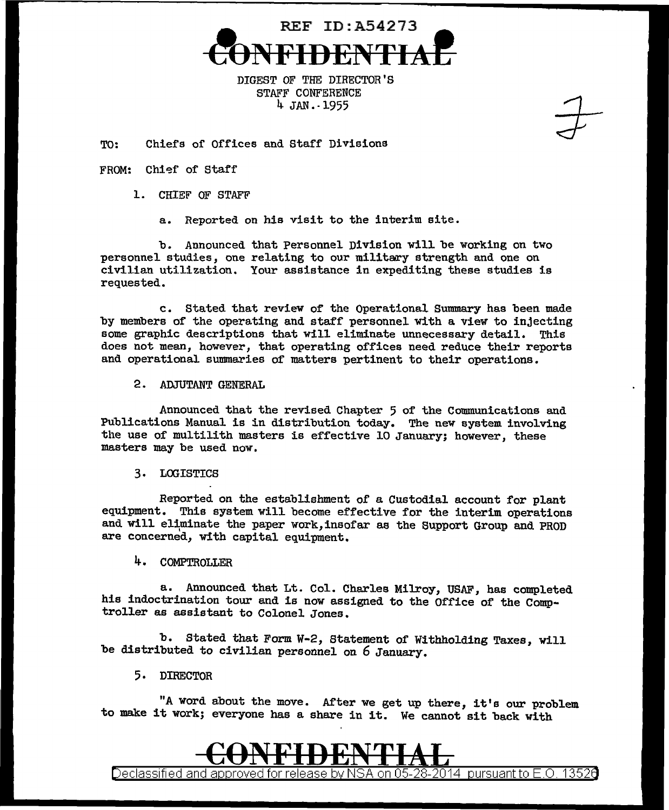

DIGEST OF THE DIRECTOR'S STAFF CONFERENCE 4 JAN.· 1955

TO: Chiefs of Offices and Staff Divisions

## FROM: Chief of Staff

- 1. CHIEF OF STAFF
	- a. Reported on his visit to the interim site.

b. Announced that Personnel Division will be working on two personnel studies, one relating to our military strength and one on civilian utilization. Your assistance in expediting these studies is requested.

c. Stated that review of the Operational Summary has been made by members of the operating and staff personnel with a view to injecting some graphic descriptions that will eliminate unnecessary detail. This does not mean, however, that operating offices need reduce their reports and operational suunnaries of matters pertinent to their operations.

2. ADJUTANT GENERAL

Announced that the revised Chapter 5 of the Communications and Publications Manual is in distribution today. The new system involving the use of multilith masters is effective 10 January; however, these masters may be used now.

3. LOGISTICS

Reported on the establishment of a Custodial account for plant equipment. This system will become effective for the interim operations and will eliminate the paper work, insofar as the Support Group and PROD are concerned, with capital equipment.

4. COMPTROLLER

a. Announced that Lt. Col. Charles Milroy, USAF, has completed his indoctrination tour and is now assigned to the Office of the Comptroller as assistant to Colonel Jones.

b. Stated that Form W-2, Statement of Withholding Taxes, will be distributed to civilian personnel on 6 January.

5. DIRECTOR

"A word about the move. After we get up there, it's our problem to make it work; everyone has a share in it. We cannot sit back with